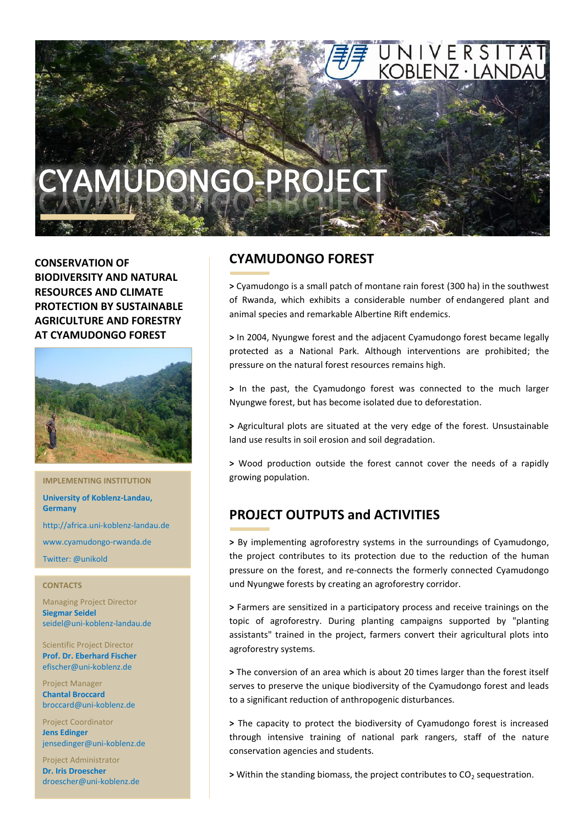

**CONSERVATION OF BIODIVERSITY AND NATURAL RESOURCES AND CLIMATE PROTECTION BY SUSTAINABLE AGRICULTURE AND FORESTRY AT CYAMUDONGO FOREST**



**IMPLEMENTING INSTITUTION**

**University of Koblenz-Landau, Germany**

http://africa.uni-koblenz-landau.de

www.cyamudongo-rwanda.de

Twitter: @unikold

#### **CONTACTS**

Managing Project Director **Siegmar Seidel** seidel@uni-koblenz-landau.de

Scientific Project Director **Prof. Dr. Eberhard Fischer** efischer@uni-koblenz.de

Project Manager **Chantal Broccard** broccard@uni-koblenz.de

Project Coordinator **Jens Edinger** jensedinger@uni-koblenz.de

Project Administrator **Dr. Iris Droescher** droescher@uni-koblenz.de

## **CYAMUDONGO FOREST**

**>** Cyamudongo is a small patch of montane rain forest (300 ha) in the southwest of Rwanda, which exhibits a considerable number of endangered plant and animal species and remarkable Albertine Rift endemics.

**>** In 2004, Nyungwe forest and the adjacent Cyamudongo forest became legally protected as a National Park. Although interventions are prohibited; the pressure on the natural forest resources remains high.

**>** In the past, the Cyamudongo forest was connected to the much larger Nyungwe forest, but has become isolated due to deforestation.

**>** Agricultural plots are situated at the very edge of the forest. Unsustainable land use results in soil erosion and soil degradation.

**>** Wood production outside the forest cannot cover the needs of a rapidly growing population.

# **PROJECT OUTPUTS and ACTIVITIES**

**>** By implementing agroforestry systems in the surroundings of Cyamudongo, the project contributes to its protection due to the reduction of the human pressure on the forest, and re-connects the formerly connected Cyamudongo und Nyungwe forests by creating an agroforestry corridor.

**>** Farmers are sensitized in a participatory process and receive trainings on the topic of agroforestry. During planting campaigns supported by "planting assistants" trained in the project, farmers convert their agricultural plots into agroforestry systems.

**>** The conversion of an area which is about 20 times larger than the forest itself serves to preserve the unique biodiversity of the Cyamudongo forest and leads to a significant reduction of anthropogenic disturbances.

**>** The capacity to protect the biodiversity of Cyamudongo forest is increased through intensive training of national park rangers, staff of the nature conservation agencies and students.

> Within the standing biomass, the project contributes to CO<sub>2</sub> sequestration.